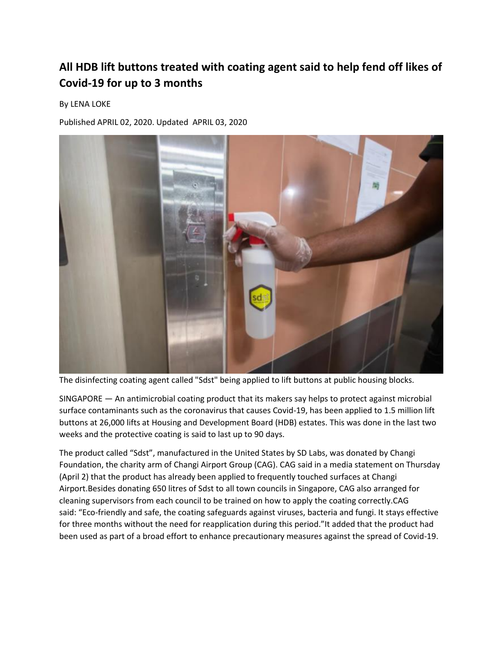## **All HDB lift buttons treated with coating agent said to help fend off likes of Covid-19 for up to 3 months**

## By LENA LOKE

Published APRIL 02, 2020. Updated APRIL 03, 2020



The disinfecting coating agent called "Sdst" being applied to lift buttons at public housing blocks.

SINGAPORE — An antimicrobial coating product that its makers say helps to protect against microbial surface contaminants such as the coronavirus that causes Covid-19, has been applied to 1.5 million lift buttons at 26,000 lifts at Housing and Development Board (HDB) estates. This was done in the last two weeks and the protective coating is said to last up to 90 days.

The product called "Sdst", manufactured in the United States by SD Labs, was donated by Changi Foundation, the charity arm of Changi Airport Group (CAG). CAG said in a media statement on Thursday (April 2) that the product has already been applied to frequently touched surfaces at Changi Airport.Besides donating 650 litres of Sdst to all town councils in Singapore, CAG also arranged for cleaning supervisors from each council to be trained on how to apply the coating correctly.CAG said: "Eco-friendly and safe, the coating safeguards against viruses, bacteria and fungi. It stays effective for three months without the need for reapplication during this period."It added that the product had been used as part of a broad effort to enhance precautionary measures against the spread of Covid-19.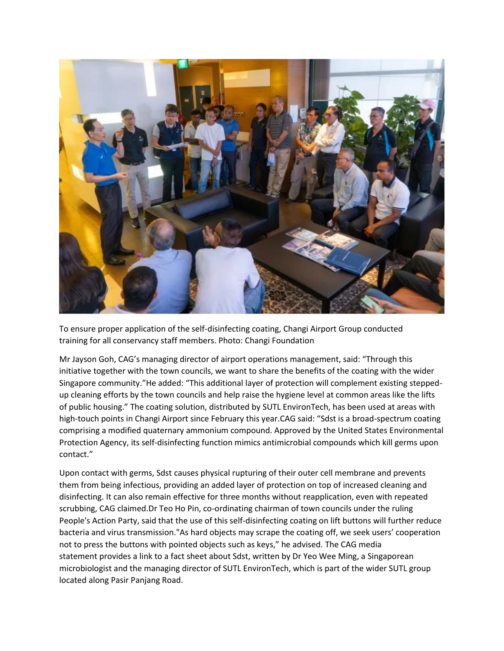

To ensure proper application of the self-disinfecting coating, Changi Airport Group conducted training for all conservancy staff members. Photo: Changi Foundation

Mr Jayson Goh, CAG's managing director of airport operations management, said: "Through this initiative together with the town councils, we want to share the benefits of the coating with the wider Singapore community."He added: "This additional layer of protection will complement existing steppedup cleaning efforts by the town councils and help raise the hygiene level at common areas like the lifts of public housing." The coating solution, distributed by SUTL EnvironTech, has been used at areas with high-touch points in Changi Airport since February this year.CAG said: "Sdst is a broad-spectrum coating comprising a modified quaternary ammonium compound. Approved by the United States Environmental Protection Agency, its self-disinfecting function mimics antimicrobial compounds which kill germs upon contact."

Upon contact with germs, Sdst causes physical rupturing of their outer cell membrane and prevents them from being infectious, providing an added layer of protection on top of increased cleaning and disinfecting. It can also remain effective for three months without reapplication, even with repeated scrubbing, CAG claimed.Dr Teo Ho Pin, co-ordinating chairman of town councils under the ruling People's Action Party, said that the use of this self-disinfecting coating on lift buttons will further reduce bacteria and virus transmission."As hard objects may scrape the coating off, we seek users' cooperation not to press the buttons with pointed objects such as keys," he advised. The CAG media statement provides a link to a fact sheet about Sdst, written by Dr Yeo Wee Ming, a Singaporean microbiologist and the managing director of SUTL EnvironTech, which is part of the wider SUTL group located along Pasir Panjang Road.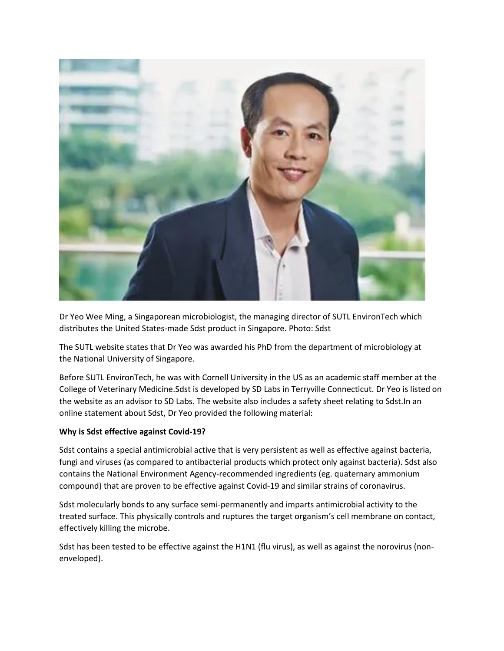

Dr Yeo Wee Ming, a Singaporean microbiologist, the managing director of SUTL EnvironTech which distributes the United States-made Sdst product in Singapore. Photo: Sdst

The SUTL website states that Dr Yeo was awarded his PhD from the department of microbiology at the National University of Singapore.

Before SUTL EnvironTech, he was with Cornell University in the US as an academic staff member at the College of Veterinary Medicine.Sdst is developed by SD Labs in Terryville Connecticut. Dr Yeo is listed on the website as an advisor to SD Labs. The website also includes a safety sheet relating to Sdst.In an online statement about Sdst, Dr Yeo provided the following material:

## **Why is Sdst effective against Covid-19?**

Sdst contains a special antimicrobial active that is very persistent as well as effective against bacteria, fungi and viruses (as compared to antibacterial products which protect only against bacteria). Sdst also contains the National Environment Agency-recommended ingredients (eg. quaternary ammonium compound) that are proven to be effective against Covid-19 and similar strains of coronavirus.

Sdst molecularly bonds to any surface semi-permanently and imparts antimicrobial activity to the treated surface. This physically controls and ruptures the target organism's cell membrane on contact, effectively killing the microbe.

Sdst has been tested to be effective against the H1N1 (flu virus), as well as against the norovirus (nonenveloped).